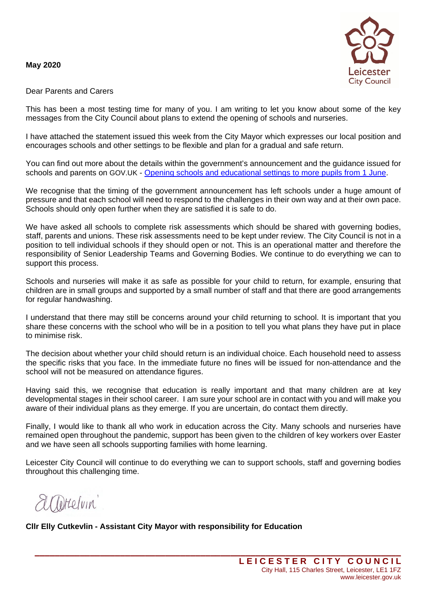## **May 2020**



## Dear Parents and Carers

This has been a most testing time for many of you. I am writing to let you know about some of the key messages from the City Council about plans to extend the opening of schools and nurseries.

I have attached the statement issued this week from the City Mayor which expresses our local position and encourages schools and other settings to be flexible and plan for a gradual and safe return.

You can find out more about the details within the government's announcement and the guidance issued for schools and parents on GOV.UK - [Opening schools and educational settings to more pupils from 1 June.](https://www.gov.uk/government/publications/closure-of-educational-settings-information-for-parents-and-carers/reopening-schools-and-other-educational-settings-from-1-june)

We recognise that the timing of the government announcement has left schools under a huge amount of pressure and that each school will need to respond to the challenges in their own way and at their own pace. Schools should only open further when they are satisfied it is safe to do.

We have asked all schools to complete risk assessments which should be shared with governing bodies, staff, parents and unions. These risk assessments need to be kept under review. The City Council is not in a position to tell individual schools if they should open or not. This is an operational matter and therefore the responsibility of Senior Leadership Teams and Governing Bodies. We continue to do everything we can to support this process.

Schools and nurseries will make it as safe as possible for your child to return, for example, ensuring that children are in small groups and supported by a small number of staff and that there are good arrangements for regular handwashing.

I understand that there may still be concerns around your child returning to school. It is important that you share these concerns with the school who will be in a position to tell you what plans they have put in place to minimise risk.

The decision about whether your child should return is an individual choice. Each household need to assess the specific risks that you face. In the immediate future no fines will be issued for non-attendance and the school will not be measured on attendance figures.

Having said this, we recognise that education is really important and that many children are at key developmental stages in their school career. I am sure your school are in contact with you and will make you aware of their individual plans as they emerge. If you are uncertain, do contact them directly.

Finally, I would like to thank all who work in education across the City. Many schools and nurseries have remained open throughout the pandemic, support has been given to the children of key workers over Easter and we have seen all schools supporting families with home learning.

Leicester City Council will continue to do everything we can to support schools, staff and governing bodies throughout this challenging time.

**\_\_\_\_\_\_\_\_\_\_\_\_\_\_\_\_\_\_\_\_\_\_\_\_\_\_\_\_\_\_\_\_\_\_\_\_\_\_\_\_\_\_\_\_\_\_\_\_\_\_\_\_\_\_\_\_\_\_\_\_\_\_\_\_\_\_\_\_\_\_\_\_\_**

altreluin

**Cllr Elly Cutkevlin - Assistant City Mayor with responsibility for Education**